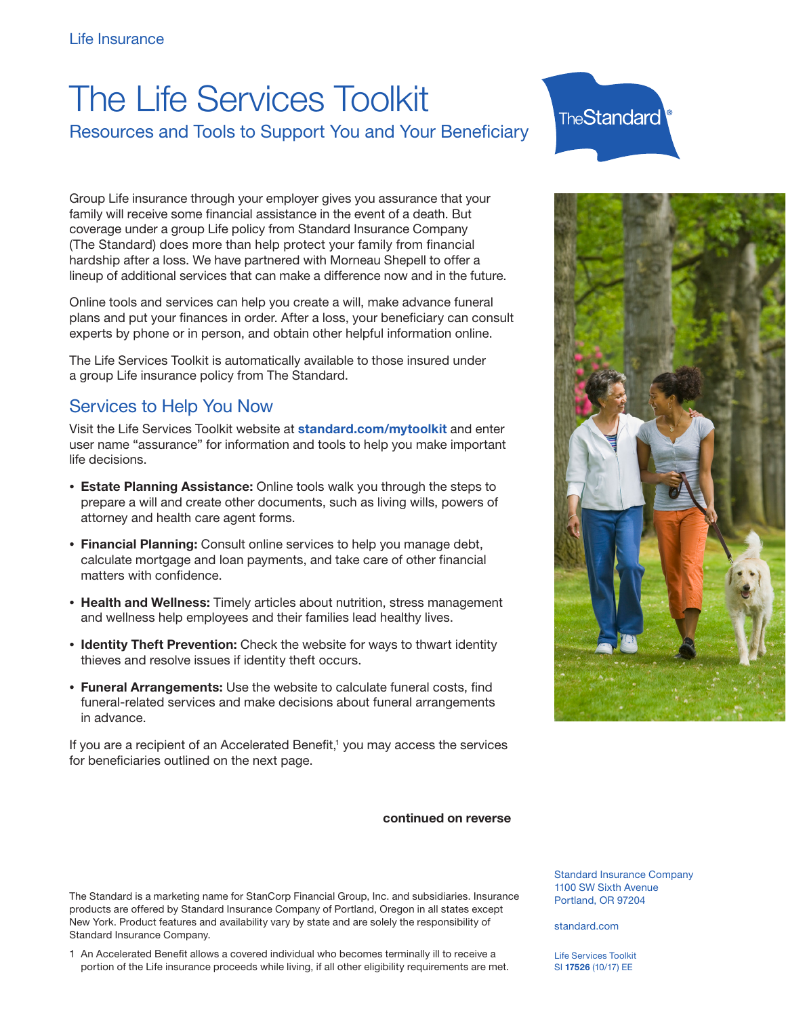## The Life Services Toolkit

Resources and Tools to Support You and Your Beneficiary

Group Life insurance through your employer gives you assurance that your family will receive some financial assistance in the event of a death. But coverage under a group Life policy from Standard Insurance Company (The Standard) does more than help protect your family from financial hardship after a loss. We have partnered with Morneau Shepell to offer a lineup of additional services that can make a difference now and in the future.

Online tools and services can help you create a will, make advance funeral plans and put your finances in order. After a loss, your beneficiary can consult experts by phone or in person, and obtain other helpful information online.

The Life Services Toolkit is automatically available to those insured under a group Life insurance policy from The Standard.

## Services to Help You Now

Visit the Life Services Toolkit website at standard.com/mytoolkit and enter user name "assurance" for information and tools to help you make important life decisions.

- Estate Planning Assistance: Online tools walk you through the steps to prepare a will and create other documents, such as living wills, powers of attorney and health care agent forms.
- Financial Planning: Consult online services to help you manage debt, calculate mortgage and loan payments, and take care of other financial matters with confidence.
- Health and Wellness: Timely articles about nutrition, stress management and wellness help employees and their families lead healthy lives.
- Identity Theft Prevention: Check the website for ways to thwart identity thieves and resolve issues if identity theft occurs.
- Funeral Arrangements: Use the website to calculate funeral costs, find funeral-related services and make decisions about funeral arrangements in advance.

If you are a recipient of an Accelerated Benefit,<sup>1</sup> you may access the services for beneficiaries outlined on the next page.

continued on reverse

The Standard is a marketing name for StanCorp Financial Group, Inc. and subsidiaries. Insurance products are offered by Standard Insurance Company of Portland, Oregon in all states except New York. Product features and availability vary by state and are solely the responsibility of Standard Insurance Company.

1 An Accelerated Benefit allows a covered individual who becomes terminally ill to receive a portion of the Life insurance proceeds while living, if all other eligibility requirements are met.





Standard Insurance Company 1100 SW Sixth Avenue Portland, OR 97204

standard.com

Life Services Toolkit SI 17526 (10/17) EE